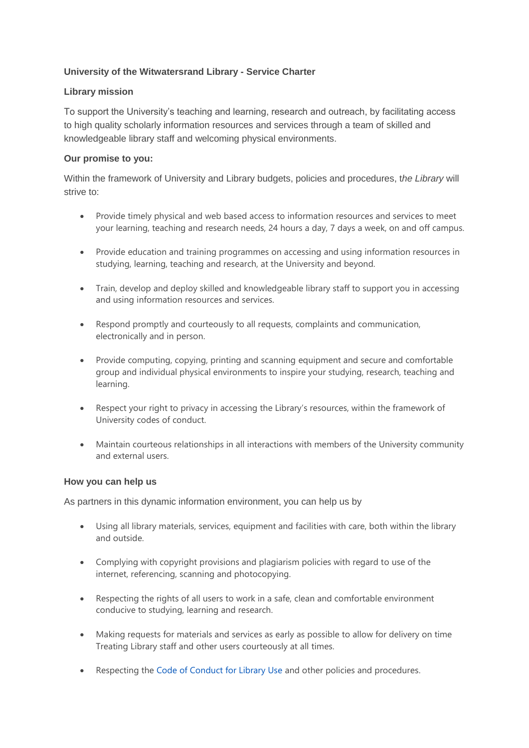## **University of the Witwatersrand Library - Service Charter**

## **Library mission**

To support the University's teaching and learning, research and outreach, by facilitating access to high quality scholarly information resources and services through a team of skilled and knowledgeable library staff and welcoming physical environments.

## **Our promise to you:**

Within the framework of University and Library budgets, policies and procedures, t*he Library* will strive to:

- Provide timely physical and web based access to information resources and services to meet your learning, teaching and research needs, 24 hours a day, 7 days a week, on and off campus.
- Provide education and training programmes on accessing and using information resources in studying, learning, teaching and research, at the University and beyond.
- Train, develop and deploy skilled and knowledgeable library staff to support you in accessing and using information resources and services.
- Respond promptly and courteously to all requests, complaints and communication, electronically and in person.
- Provide computing, copying, printing and scanning equipment and secure and comfortable group and individual physical environments to inspire your studying, research, teaching and learning.
- Respect your right to privacy in accessing the Library's resources, within the framework of University codes of conduct.
- Maintain courteous relationships in all interactions with members of the University community and external users.

## **How you can help us**

As partners in this dynamic information environment, you can help us by

- Using all library materials, services, equipment and facilities with care, both within the library and outside.
- Complying with copyright provisions and plagiarism policies with regard to use of the internet, referencing, scanning and photocopying.
- Respecting the rights of all users to work in a safe, clean and comfortable environment conducive to studying, learning and research.
- Making requests for materials and services as early as possible to allow for delivery on time Treating Library staff and other users courteously at all times.
- Respecting the [Code of Conduct for Library Use](http://intranet.wits.ac.za/academic/library/Policies%20and%20Guidelines/Code%20of%20Conduct.pdf) and other policies and procedures.